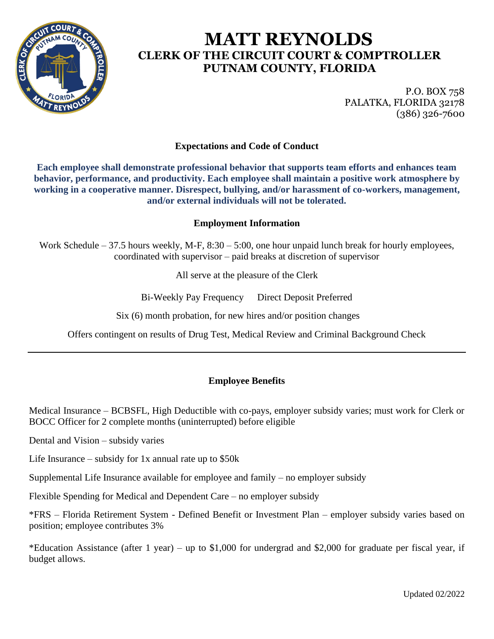

# **MATT REYNOLDS CLERK OF THE CIRCUIT COURT & COMPTROLLER PUTNAM COUNTY, FLORIDA**

P.O. BOX 758 PALATKA, FLORIDA 32178 (386) 326-7600

## **Expectations and Code of Conduct**

**Each employee shall demonstrate professional behavior that supports team efforts and enhances team behavior, performance, and productivity. Each employee shall maintain a positive work atmosphere by working in a cooperative manner. Disrespect, bullying, and/or harassment of co-workers, management, and/or external individuals will not be tolerated.**

### **Employment Information**

Work Schedule – 37.5 hours weekly, M-F, 8:30 – 5:00, one hour unpaid lunch break for hourly employees, coordinated with supervisor – paid breaks at discretion of supervisor

All serve at the pleasure of the Clerk

Bi-Weekly Pay Frequency Direct Deposit Preferred

Six (6) month probation, for new hires and/or position changes

Offers contingent on results of Drug Test, Medical Review and Criminal Background Check

## **Employee Benefits**

Medical Insurance – BCBSFL, High Deductible with co-pays, employer subsidy varies; must work for Clerk or BOCC Officer for 2 complete months (uninterrupted) before eligible

Dental and Vision – subsidy varies

Life Insurance – subsidy for  $1x$  annual rate up to \$50 $k$ 

Supplemental Life Insurance available for employee and family – no employer subsidy

Flexible Spending for Medical and Dependent Care – no employer subsidy

\*FRS – Florida Retirement System - Defined Benefit or Investment Plan – employer subsidy varies based on position; employee contributes 3%

\*Education Assistance (after 1 year) – up to \$1,000 for undergrad and \$2,000 for graduate per fiscal year, if budget allows.